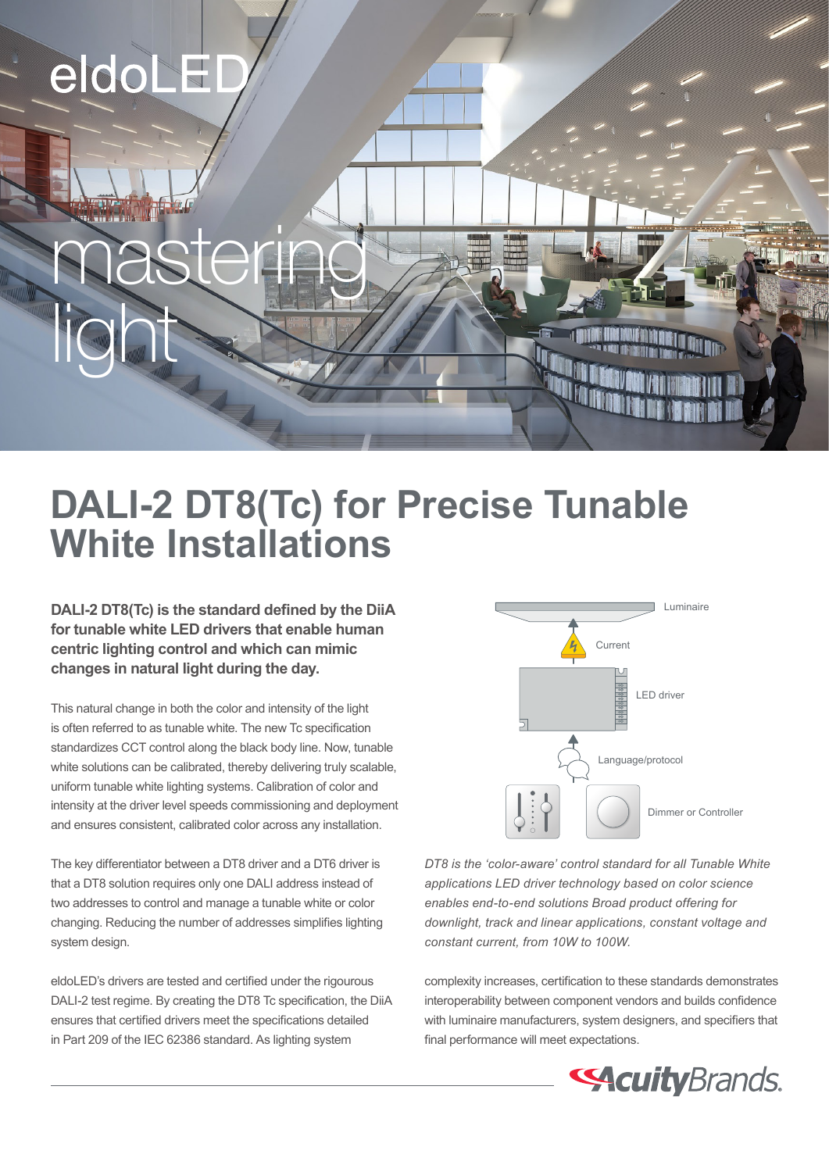# eldoLEI

light

## **DALI-2 DT8(Tc) for Precise Tunable White Installations**

**DALI-2 DT8(Tc) is the standard defined by the DiiA for tunable white LED drivers that enable human centric lighting control and which can mimic changes in natural light during the day.** 

mastering

This natural change in both the color and intensity of the light is often referred to as tunable white. The new Tc specification standardizes CCT control along the black body line. Now, tunable white solutions can be calibrated, thereby delivering truly scalable, uniform tunable white lighting systems. Calibration of color and intensity at the driver level speeds commissioning and deployment and ensures consistent, calibrated color across any installation.

The key differentiator between a DT8 driver and a DT6 driver is that a DT8 solution requires only one DALI address instead of two addresses to control and manage a tunable white or color changing. Reducing the number of addresses simplifies lighting system design.

eldoLED's drivers are tested and certified under the rigourous DALI-2 test regime. By creating the DT8 Tc specification, the DiiA ensures that certified drivers meet the specifications detailed in Part 209 of the IEC 62386 standard. As lighting system



*DT8 is the 'color-aware' control standard for all Tunable White applications LED driver technology based on color science enables end-to-end solutions Broad product offering for downlight, track and linear applications, constant voltage and constant current, from 10W to 100W.*

complexity increases, certification to these standards demonstrates interoperability between component vendors and builds confidence with luminaire manufacturers, system designers, and specifiers that final performance will meet expectations.